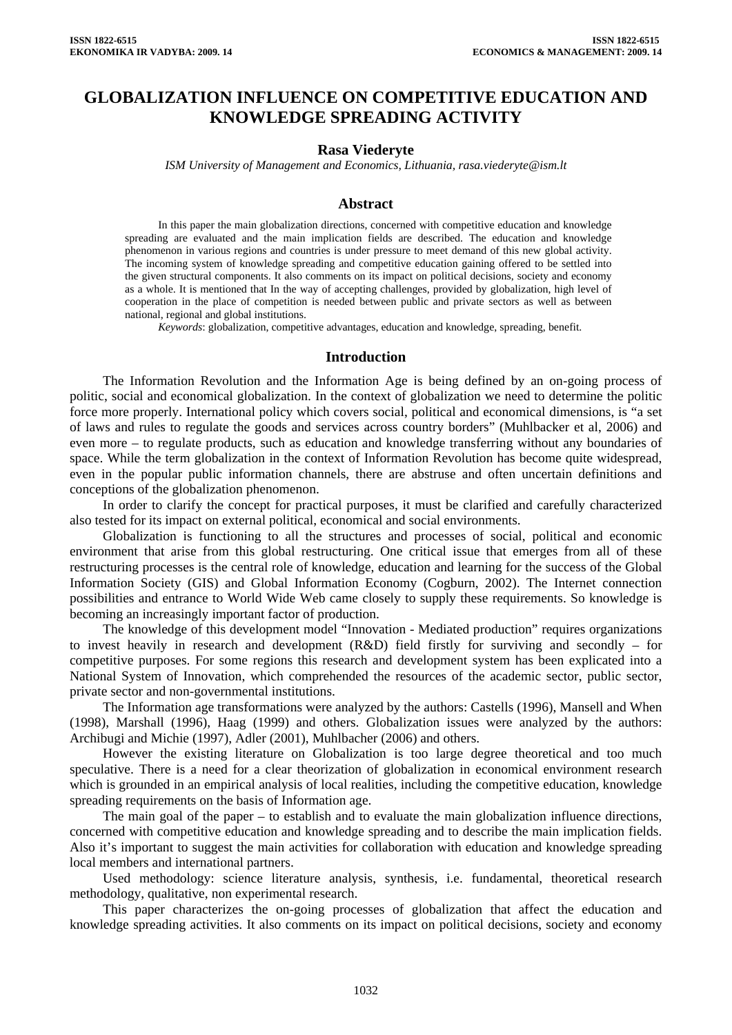# **GLOBALIZATION INFLUENCE ON COMPETITIVE EDUCATION AND KNOWLEDGE SPREADING ACTIVITY**

#### **Rasa Viederyte**

*ISM University of Management and Economics, Lithuania, rasa.viederyte@ism.lt* 

## **Abstract**

In this paper the main globalization directions, concerned with competitive education and knowledge spreading are evaluated and the main implication fields are described. The education and knowledge phenomenon in various regions and countries is under pressure to meet demand of this new global activity. The incoming system of knowledge spreading and competitive education gaining offered to be settled into the given structural components. It also comments on its impact on political decisions, society and economy as a whole. It is mentioned that In the way of accepting challenges, provided by globalization, high level of cooperation in the place of competition is needed between public and private sectors as well as between national, regional and global institutions.

*Keywords*: globalization, competitive advantages, education and knowledge, spreading, benefit.

#### **Introduction**

The Information Revolution and the Information Age is being defined by an on-going process of politic, social and economical globalization. In the context of globalization we need to determine the politic force more properly. International policy which covers social, political and economical dimensions, is "a set of laws and rules to regulate the goods and services across country borders" (Muhlbacker et al, 2006) and even more – to regulate products, such as education and knowledge transferring without any boundaries of space. While the term globalization in the context of Information Revolution has become quite widespread, even in the popular public information channels, there are abstruse and often uncertain definitions and conceptions of the globalization phenomenon.

In order to clarify the concept for practical purposes, it must be clarified and carefully characterized also tested for its impact on external political, economical and social environments.

Globalization is functioning to all the structures and processes of social, political and economic environment that arise from this global restructuring. One critical issue that emerges from all of these restructuring processes is the central role of knowledge, education and learning for the success of the Global Information Society (GIS) and Global Information Economy (Cogburn, 2002). The Internet connection possibilities and entrance to World Wide Web came closely to supply these requirements. So knowledge is becoming an increasingly important factor of production.

The knowledge of this development model "Innovation - Mediated production" requires organizations to invest heavily in research and development (R&D) field firstly for surviving and secondly – for competitive purposes. For some regions this research and development system has been explicated into a National System of Innovation, which comprehended the resources of the academic sector, public sector, private sector and non-governmental institutions.

The Information age transformations were analyzed by the authors: Castells (1996), Mansell and When (1998), Marshall (1996), Haag (1999) and others. Globalization issues were analyzed by the authors: Archibugi and Michie (1997), Adler (2001), Muhlbacher (2006) and others.

However the existing literature on Globalization is too large degree theoretical and too much speculative. There is a need for a clear theorization of globalization in economical environment research which is grounded in an empirical analysis of local realities, including the competitive education, knowledge spreading requirements on the basis of Information age.

The main goal of the paper – to establish and to evaluate the main globalization influence directions, concerned with competitive education and knowledge spreading and to describe the main implication fields. Also it's important to suggest the main activities for collaboration with education and knowledge spreading local members and international partners.

Used methodology: science literature analysis, synthesis, i.e. fundamental, theoretical research methodology, qualitative, non experimental research.

This paper characterizes the on-going processes of globalization that affect the education and knowledge spreading activities. It also comments on its impact on political decisions, society and economy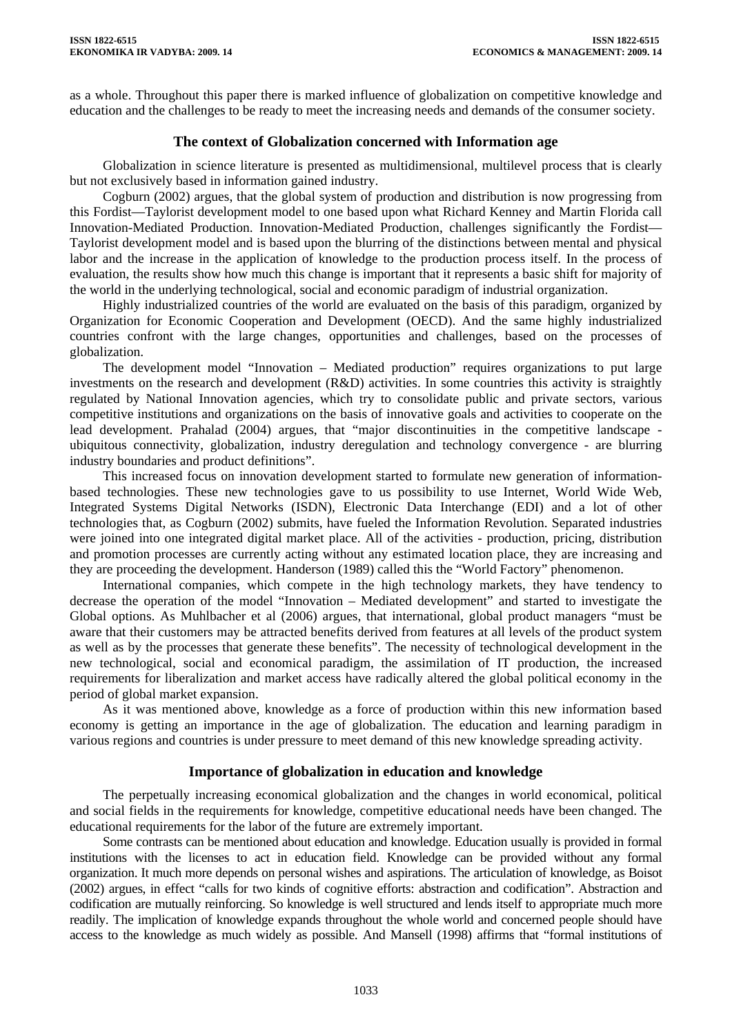as a whole. Throughout this paper there is marked influence of globalization on competitive knowledge and education and the challenges to be ready to meet the increasing needs and demands of the consumer society.

# **The context of Globalization concerned with Information age**

Globalization in science literature is presented as multidimensional, multilevel process that is clearly but not exclusively based in information gained industry.

Cogburn (2002) argues, that the global system of production and distribution is now progressing from this Fordist—Taylorist development model to one based upon what Richard Kenney and Martin Florida call Innovation-Mediated Production. Innovation-Mediated Production, challenges significantly the Fordist— Taylorist development model and is based upon the blurring of the distinctions between mental and physical labor and the increase in the application of knowledge to the production process itself. In the process of evaluation, the results show how much this change is important that it represents a basic shift for majority of the world in the underlying technological, social and economic paradigm of industrial organization.

Highly industrialized countries of the world are evaluated on the basis of this paradigm, organized by Organization for Economic Cooperation and Development (OECD). And the same highly industrialized countries confront with the large changes, opportunities and challenges, based on the processes of globalization.

The development model "Innovation – Mediated production" requires organizations to put large investments on the research and development  $(R&D)$  activities. In some countries this activity is straightly regulated by National Innovation agencies, which try to consolidate public and private sectors, various competitive institutions and organizations on the basis of innovative goals and activities to cooperate on the lead development. Prahalad (2004) argues, that "major discontinuities in the competitive landscape ubiquitous connectivity, globalization, industry deregulation and technology convergence - are blurring industry boundaries and product definitions".

This increased focus on innovation development started to formulate new generation of informationbased technologies. These new technologies gave to us possibility to use Internet, World Wide Web, Integrated Systems Digital Networks (ISDN), Electronic Data Interchange (EDI) and a lot of other technologies that, as Cogburn (2002) submits, have fueled the Information Revolution. Separated industries were joined into one integrated digital market place. All of the activities - production, pricing, distribution and promotion processes are currently acting without any estimated location place, they are increasing and they are proceeding the development. Handerson (1989) called this the "World Factory" phenomenon.

International companies, which compete in the high technology markets, they have tendency to decrease the operation of the model "Innovation – Mediated development" and started to investigate the Global options. As Muhlbacher et al (2006) argues, that international, global product managers "must be aware that their customers may be attracted benefits derived from features at all levels of the product system as well as by the processes that generate these benefits". The necessity of technological development in the new technological, social and economical paradigm, the assimilation of IT production, the increased requirements for liberalization and market access have radically altered the global political economy in the period of global market expansion.

As it was mentioned above, knowledge as a force of production within this new information based economy is getting an importance in the age of globalization. The education and learning paradigm in various regions and countries is under pressure to meet demand of this new knowledge spreading activity.

## **Importance of globalization in education and knowledge**

The perpetually increasing economical globalization and the changes in world economical, political and social fields in the requirements for knowledge, competitive educational needs have been changed. The educational requirements for the labor of the future are extremely important.

Some contrasts can be mentioned about education and knowledge. Education usually is provided in formal institutions with the licenses to act in education field. Knowledge can be provided without any formal organization. It much more depends on personal wishes and aspirations. The articulation of knowledge, as Boisot (2002) argues, in effect "calls for two kinds of cognitive efforts: abstraction and codification". Abstraction and codification are mutually reinforcing. So knowledge is well structured and lends itself to appropriate much more readily. The implication of knowledge expands throughout the whole world and concerned people should have access to the knowledge as much widely as possible. And Mansell (1998) affirms that "formal institutions of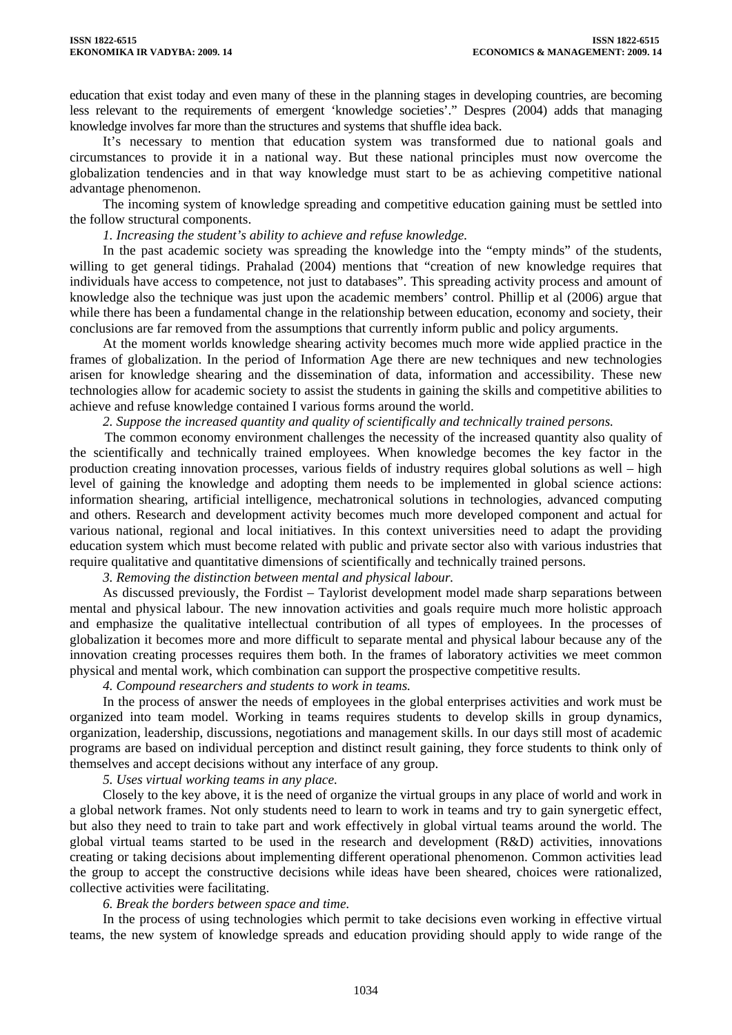education that exist today and even many of these in the planning stages in developing countries, are becoming less relevant to the requirements of emergent 'knowledge societies'." Despres (2004) adds that managing knowledge involves far more than the structures and systems that shuffle idea back.

It's necessary to mention that education system was transformed due to national goals and circumstances to provide it in a national way. But these national principles must now overcome the globalization tendencies and in that way knowledge must start to be as achieving competitive national advantage phenomenon.

The incoming system of knowledge spreading and competitive education gaining must be settled into the follow structural components.

### *1. Increasing the student's ability to achieve and refuse knowledge.*

In the past academic society was spreading the knowledge into the "empty minds" of the students, willing to get general tidings. Prahalad (2004) mentions that "creation of new knowledge requires that individuals have access to competence, not just to databases". This spreading activity process and amount of knowledge also the technique was just upon the academic members' control. Phillip et al (2006) argue that while there has been a fundamental change in the relationship between education, economy and society, their conclusions are far removed from the assumptions that currently inform public and policy arguments.

At the moment worlds knowledge shearing activity becomes much more wide applied practice in the frames of globalization. In the period of Information Age there are new techniques and new technologies arisen for knowledge shearing and the dissemination of data, information and accessibility. These new technologies allow for academic society to assist the students in gaining the skills and competitive abilities to achieve and refuse knowledge contained I various forms around the world.

*2. Suppose the increased quantity and quality of scientifically and technically trained persons.* 

 The common economy environment challenges the necessity of the increased quantity also quality of the scientifically and technically trained employees. When knowledge becomes the key factor in the production creating innovation processes, various fields of industry requires global solutions as well – high level of gaining the knowledge and adopting them needs to be implemented in global science actions: information shearing, artificial intelligence, mechatronical solutions in technologies, advanced computing and others. Research and development activity becomes much more developed component and actual for various national, regional and local initiatives. In this context universities need to adapt the providing education system which must become related with public and private sector also with various industries that require qualitative and quantitative dimensions of scientifically and technically trained persons.

*3. Removing the distinction between mental and physical labour.* 

As discussed previously, the Fordist – Taylorist development model made sharp separations between mental and physical labour. The new innovation activities and goals require much more holistic approach and emphasize the qualitative intellectual contribution of all types of employees. In the processes of globalization it becomes more and more difficult to separate mental and physical labour because any of the innovation creating processes requires them both. In the frames of laboratory activities we meet common physical and mental work, which combination can support the prospective competitive results.

*4. Compound researchers and students to work in teams.* 

In the process of answer the needs of employees in the global enterprises activities and work must be organized into team model. Working in teams requires students to develop skills in group dynamics, organization, leadership, discussions, negotiations and management skills. In our days still most of academic programs are based on individual perception and distinct result gaining, they force students to think only of themselves and accept decisions without any interface of any group.

*5. Uses virtual working teams in any place.* 

Closely to the key above, it is the need of organize the virtual groups in any place of world and work in a global network frames. Not only students need to learn to work in teams and try to gain synergetic effect, but also they need to train to take part and work effectively in global virtual teams around the world. The global virtual teams started to be used in the research and development (R&D) activities, innovations creating or taking decisions about implementing different operational phenomenon. Common activities lead the group to accept the constructive decisions while ideas have been sheared, choices were rationalized, collective activities were facilitating.

*6. Break the borders between space and time.* 

In the process of using technologies which permit to take decisions even working in effective virtual teams, the new system of knowledge spreads and education providing should apply to wide range of the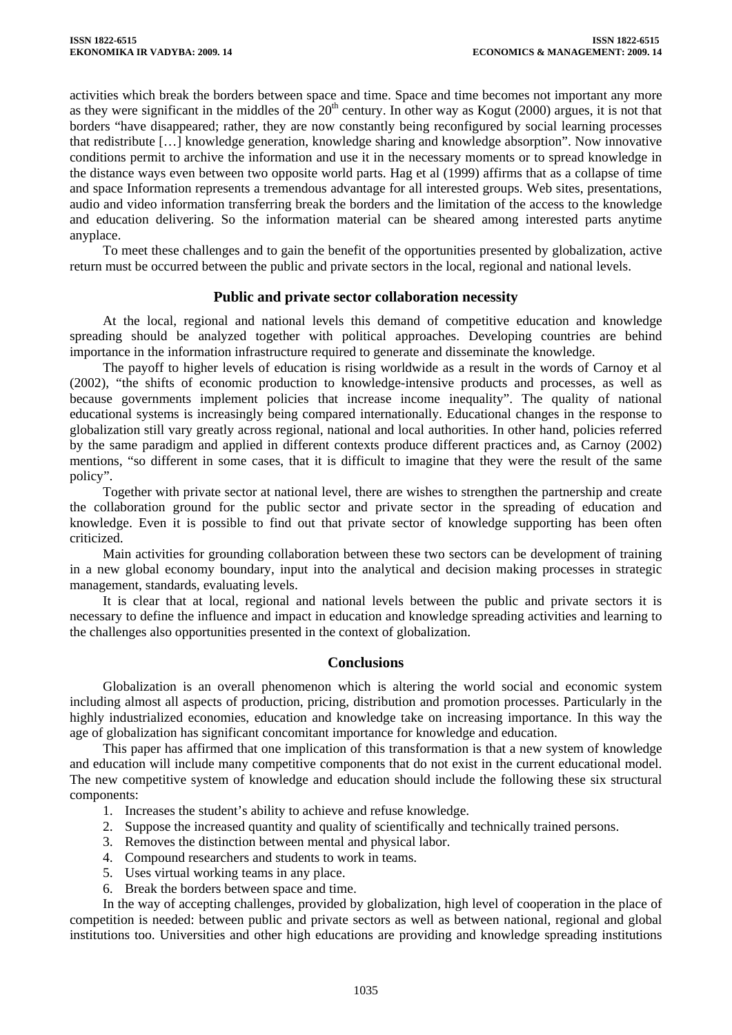activities which break the borders between space and time. Space and time becomes not important any more as they were significant in the middles of the  $20<sup>th</sup>$  century. In other way as Kogut (2000) argues, it is not that borders "have disappeared; rather, they are now constantly being reconfigured by social learning processes that redistribute […] knowledge generation, knowledge sharing and knowledge absorption". Now innovative conditions permit to archive the information and use it in the necessary moments or to spread knowledge in the distance ways even between two opposite world parts. Hag et al (1999) affirms that as a collapse of time and space Information represents a tremendous advantage for all interested groups. Web sites, presentations, audio and video information transferring break the borders and the limitation of the access to the knowledge and education delivering. So the information material can be sheared among interested parts anytime anyplace.

To meet these challenges and to gain the benefit of the opportunities presented by globalization, active return must be occurred between the public and private sectors in the local, regional and national levels.

## **Public and private sector collaboration necessity**

At the local, regional and national levels this demand of competitive education and knowledge spreading should be analyzed together with political approaches. Developing countries are behind importance in the information infrastructure required to generate and disseminate the knowledge.

The payoff to higher levels of education is rising worldwide as a result in the words of Carnoy et al (2002), "the shifts of economic production to knowledge-intensive products and processes, as well as because governments implement policies that increase income inequality". The quality of national educational systems is increasingly being compared internationally. Educational changes in the response to globalization still vary greatly across regional, national and local authorities. In other hand, policies referred by the same paradigm and applied in different contexts produce different practices and, as Carnoy (2002) mentions, "so different in some cases, that it is difficult to imagine that they were the result of the same policy".

Together with private sector at national level, there are wishes to strengthen the partnership and create the collaboration ground for the public sector and private sector in the spreading of education and knowledge. Even it is possible to find out that private sector of knowledge supporting has been often criticized.

Main activities for grounding collaboration between these two sectors can be development of training in a new global economy boundary, input into the analytical and decision making processes in strategic management, standards, evaluating levels.

It is clear that at local, regional and national levels between the public and private sectors it is necessary to define the influence and impact in education and knowledge spreading activities and learning to the challenges also opportunities presented in the context of globalization.

## **Conclusions**

Globalization is an overall phenomenon which is altering the world social and economic system including almost all aspects of production, pricing, distribution and promotion processes. Particularly in the highly industrialized economies, education and knowledge take on increasing importance. In this way the age of globalization has significant concomitant importance for knowledge and education.

This paper has affirmed that one implication of this transformation is that a new system of knowledge and education will include many competitive components that do not exist in the current educational model. The new competitive system of knowledge and education should include the following these six structural components:

- 1. Increases the student's ability to achieve and refuse knowledge.
- 2. Suppose the increased quantity and quality of scientifically and technically trained persons.
- 3. Removes the distinction between mental and physical labor.
- 4. Compound researchers and students to work in teams.
- 5. Uses virtual working teams in any place.
- 6. Break the borders between space and time.

In the way of accepting challenges, provided by globalization, high level of cooperation in the place of competition is needed: between public and private sectors as well as between national, regional and global institutions too. Universities and other high educations are providing and knowledge spreading institutions